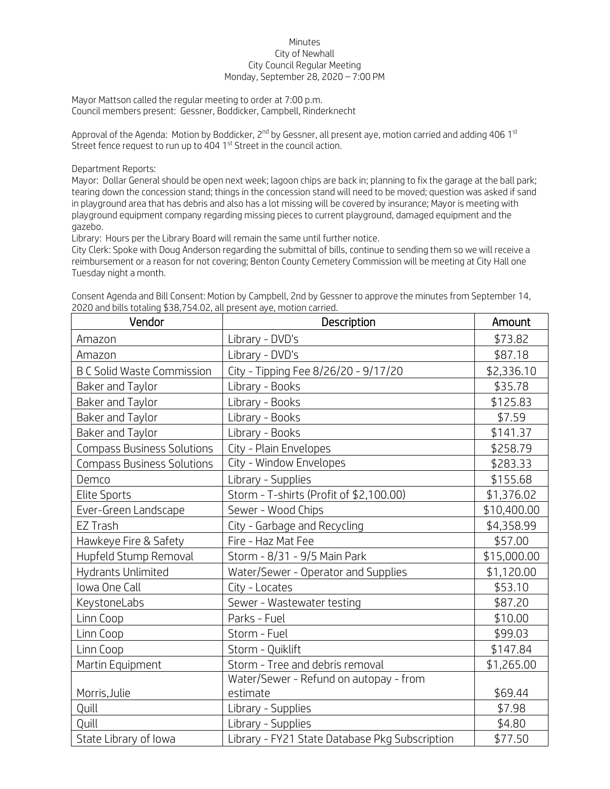## Minutes City of Newhall City Council Regular Meeting Monday, September 28, 2020 – 7:00 PM

Mayor Mattson called the regular meeting to order at 7:00 p.m. Council members present: Gessner, Boddicker, Campbell, Rinderknecht

Approval of the Agenda: Motion by Boddicker,  $2^{nd}$  by Gessner, all present aye, motion carried and adding 406 1<sup>st</sup> Street fence request to run up to 404 1<sup>st</sup> Street in the council action.

Department Reports:

Mayor: Dollar General should be open next week; lagoon chips are back in; planning to fix the garage at the ball park; tearing down the concession stand; things in the concession stand will need to be moved; question was asked if sand in playground area that has debris and also has a lot missing will be covered by insurance; Mayor is meeting with playground equipment company regarding missing pieces to current playground, damaged equipment and the gazebo.

Library: Hours per the Library Board will remain the same until further notice.

City Clerk: Spoke with Doug Anderson regarding the submittal of bills, continue to sending them so we will receive a reimbursement or a reason for not covering; Benton County Cemetery Commission will be meeting at City Hall one Tuesday night a month.

| Vendor                            | Description                                    | Amount      |
|-----------------------------------|------------------------------------------------|-------------|
| Amazon                            | Library - DVD's                                | \$73.82     |
| Amazon                            | Library - DVD's                                | \$87.18     |
| <b>B C Solid Waste Commission</b> | City - Tipping Fee 8/26/20 - 9/17/20           | \$2,336.10  |
| Baker and Taylor                  | Library - Books                                | \$35.78     |
| Baker and Taylor                  | Library - Books                                | \$125.83    |
| Baker and Taylor                  | Library - Books                                | \$7.59      |
| Baker and Taylor                  | Library - Books                                | \$141.37    |
| <b>Compass Business Solutions</b> | City - Plain Envelopes                         | \$258.79    |
| <b>Compass Business Solutions</b> | City - Window Envelopes                        | \$283.33    |
| Demco                             | Library - Supplies                             | \$155.68    |
| <b>Elite Sports</b>               | Storm - T-shirts (Profit of \$2,100.00)        | \$1,376.02  |
| Ever-Green Landscape              | Sewer - Wood Chips                             | \$10,400.00 |
| EZ Trash                          | City - Garbage and Recycling                   | \$4,358.99  |
| Hawkeye Fire & Safety             | Fire - Haz Mat Fee                             | \$57.00     |
| Hupfeld Stump Removal             | Storm - 8/31 - 9/5 Main Park                   | \$15,000.00 |
| Hydrants Unlimited                | Water/Sewer - Operator and Supplies            | \$1,120.00  |
| Iowa One Call                     | City - Locates                                 | \$53.10     |
| KeystoneLabs                      | Sewer - Wastewater testing                     | \$87.20     |
| Linn Coop                         | Parks - Fuel                                   | \$10.00     |
| Linn Coop                         | Storm - Fuel                                   | \$99.03     |
| Linn Coop                         | Storm - Quiklift                               | \$147.84    |
| Martin Equipment                  | Storm - Tree and debris removal                | \$1,265.00  |
|                                   | Water/Sewer - Refund on autopay - from         |             |
| Morris, Julie                     | estimate                                       | \$69.44     |
| Quill                             | Library - Supplies                             | \$7.98      |
| Quill                             | Library - Supplies                             | \$4.80      |
| State Library of Iowa             | Library - FY21 State Database Pkg Subscription | \$77.50     |

Consent Agenda and Bill Consent: Motion by Campbell, 2nd by Gessner to approve the minutes from September 14, 2020 and bills totaling \$38,754.02, all present aye, motion carried.